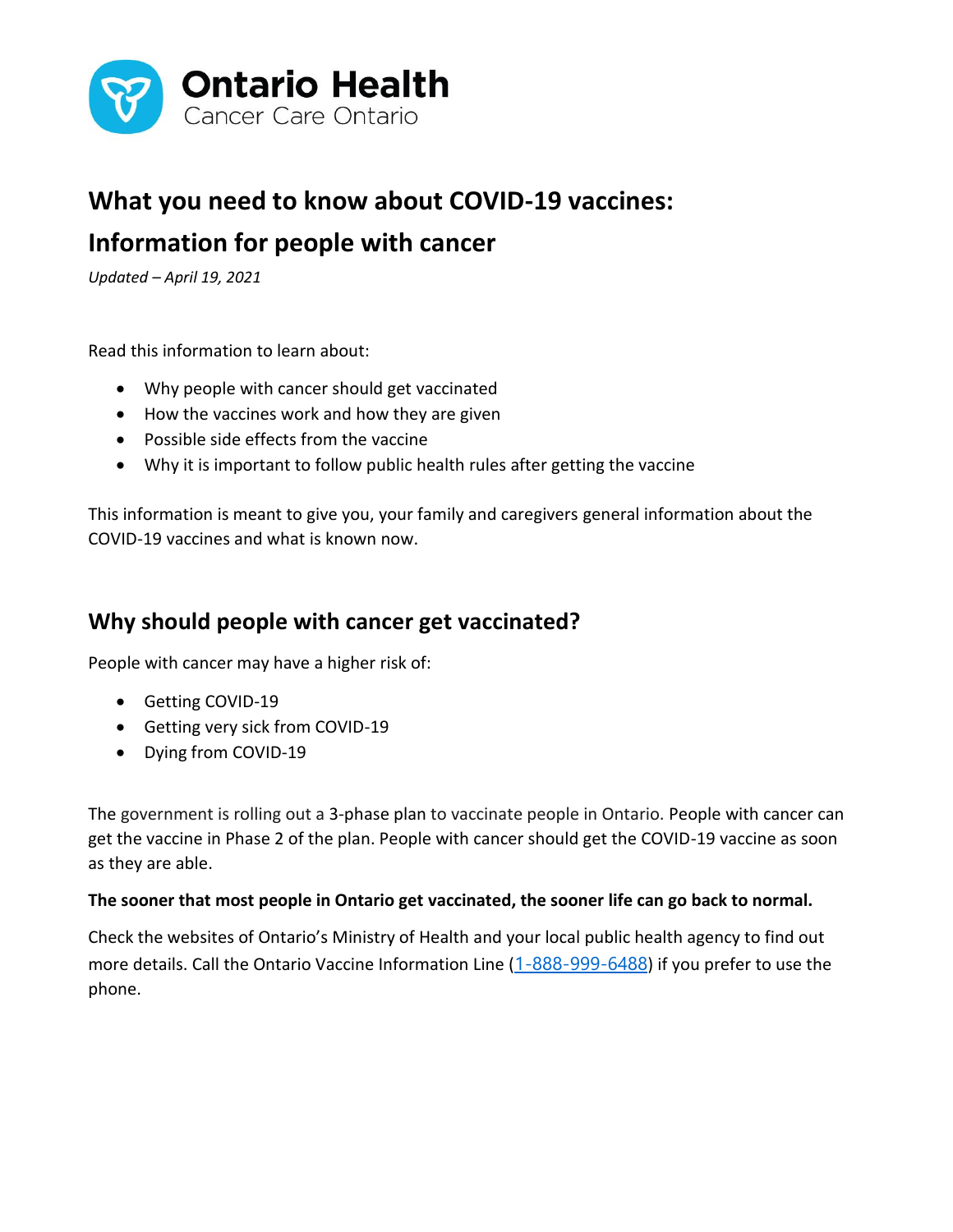

# **What you need to know about COVID-19 vaccines:**

## **Information for people with cancer**

*Updated – April 19, 2021* 

Read this information to learn about:

- Why people with cancer should get vaccinated
- How the vaccines work and how they are given
- Possible side effects from the vaccine
- Why it is important to follow public health rules after getting the vaccine

This information is meant to give you, your family and caregivers general information about the COVID-19 vaccines and what is known now.

## **Why should people with cancer get vaccinated?**

People with cancer may have a higher risk of:

- Getting COVID-19
- Getting very sick from COVID-19
- Dying from COVID-19

The government is rolling out a 3-phase plan to vaccinate people in Ontario. People with cancer can get the vaccine in Phase 2 of the plan. People with cancer should get the COVID-19 vaccine as soon as they are able.

#### **The sooner that most people in Ontario get vaccinated, the sooner life can go back to normal.**

Check the websites of Ontario's Ministry of Health and your local public health agency to find out more details. Call the Ontario Vaccine Information Line (1-888-999-6488) if you prefer to use the phone.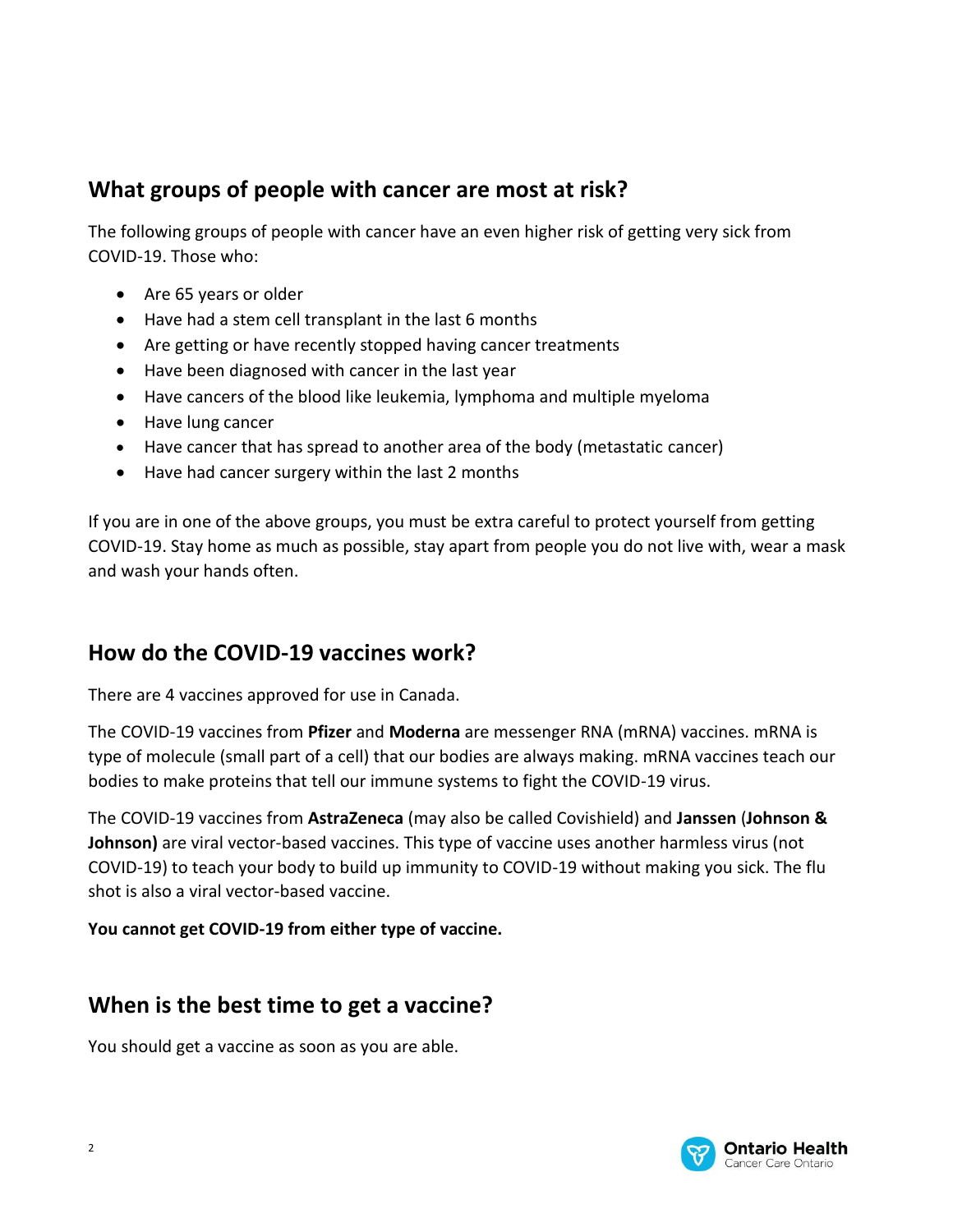#### **What groups of people with cancer are most at risk?**

The following groups of people with cancer have an even higher risk of getting very sick from COVID-19. Those who:

- Are 65 years or older
- Have had a stem cell transplant in the last 6 months
- Are getting or have recently stopped having cancer treatments
- Have been diagnosed with cancer in the last year
- Have cancers of the blood like leukemia, lymphoma and multiple myeloma
- Have lung cancer
- Have cancer that has spread to another area of the body (metastatic cancer)
- Have had cancer surgery within the last 2 months

If you are in one of the above groups, you must be extra careful to protect yourself from getting COVID-19. Stay home as much as possible, stay apart from people you do not live with, wear a mask and wash your hands often.

#### **How do the COVID-19 vaccines work?**

There are 4 vaccines approved for use in Canada.

The COVID-19 vaccines from **Pfizer** and **Moderna** are messenger RNA (mRNA) vaccines. mRNA is type of molecule (small part of a cell) that our bodies are always making. mRNA vaccines teach our bodies to make proteins that tell our immune systems to fight the COVID-19 virus.

The COVID-19 vaccines from **AstraZeneca** (may also be called Covishield) and **Janssen** (**Johnson & Johnson)** are viral vector-based vaccines. This type of vaccine uses another harmless virus (not COVID-19) to teach your body to build up immunity to COVID-19 without making you sick. The flu shot is also a viral vector-based vaccine.

**You cannot get COVID-19 from either type of vaccine.** 

#### **When is the best time to get a vaccine?**

You should get a vaccine as soon as you are able.

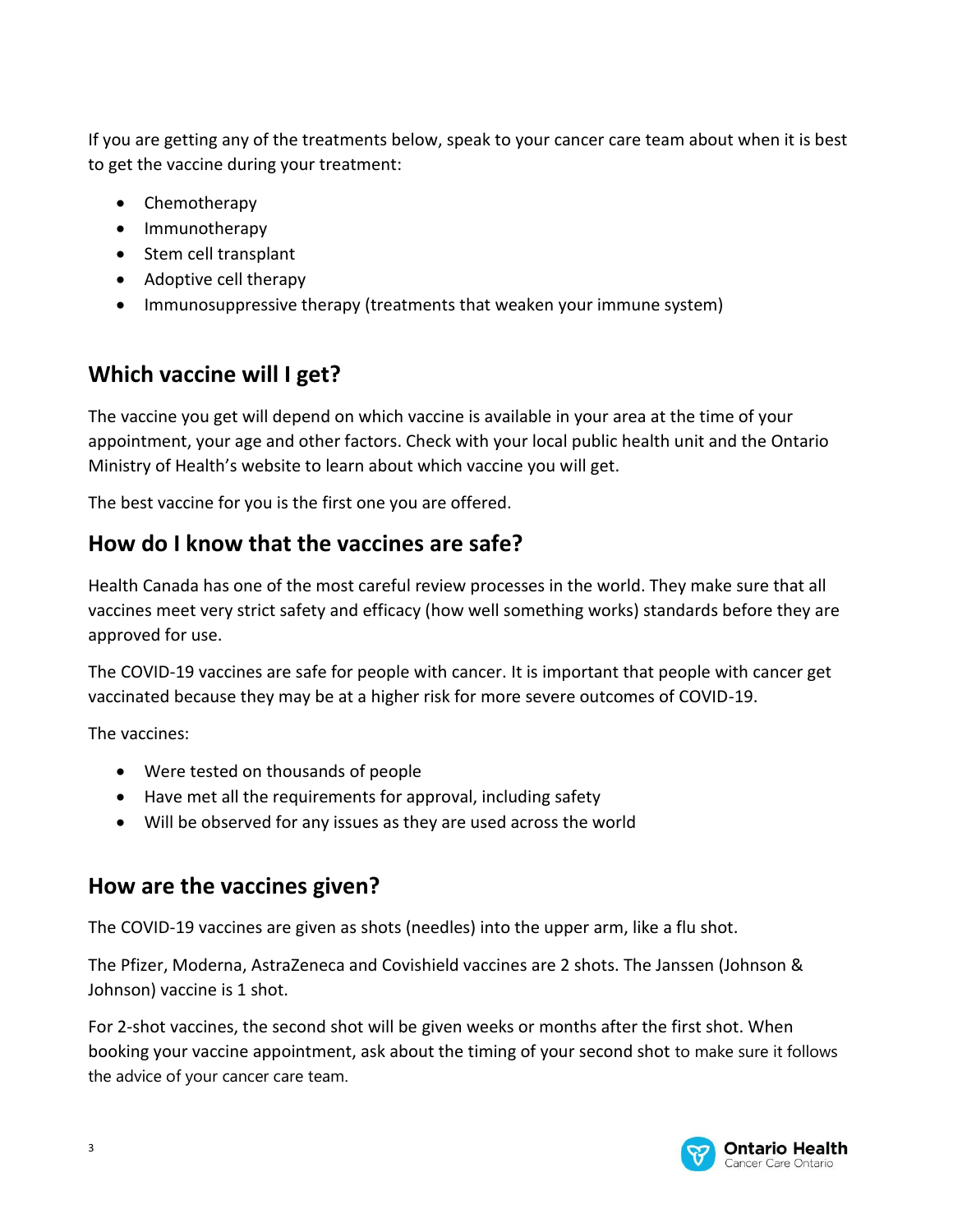If you are getting any of the treatments below, speak to your cancer care team about when it is best to get the vaccine during your treatment:

- Chemotherapy
- Immunotherapy
- Stem cell transplant
- Adoptive cell therapy
- Immunosuppressive therapy (treatments that weaken your immune system)

#### **Which vaccine will I get?**

The vaccine you get will depend on which vaccine is available in your area at the time of your appointment, your age and other factors. Check with your local public health unit and the Ontario Ministry of Health's website to learn about which vaccine you will get.

The best vaccine for you is the first one you are offered.

#### **How do I know that the vaccines are safe?**

Health Canada has one of the most careful review processes in the world. They make sure that all vaccines meet very strict safety and efficacy (how well something works) standards before they are approved for use.

The COVID-19 vaccines are safe for people with cancer. It is important that people with cancer get vaccinated because they may be at a higher risk for more severe outcomes of COVID-19.

The vaccines:

- Were tested on thousands of people
- Have met all the requirements for approval, including safety
- Will be observed for any issues as they are used across the world

#### **How are the vaccines given?**

The COVID-19 vaccines are given as shots (needles) into the upper arm, like a flu shot.

The Pfizer, Moderna, AstraZeneca and Covishield vaccines are 2 shots. The Janssen (Johnson & Johnson) vaccine is 1 shot.

For 2-shot vaccines, the second shot will be given weeks or months after the first shot. When booking your vaccine appointment, ask about the timing of your second shot to make sure it follows the advice of your cancer care team.

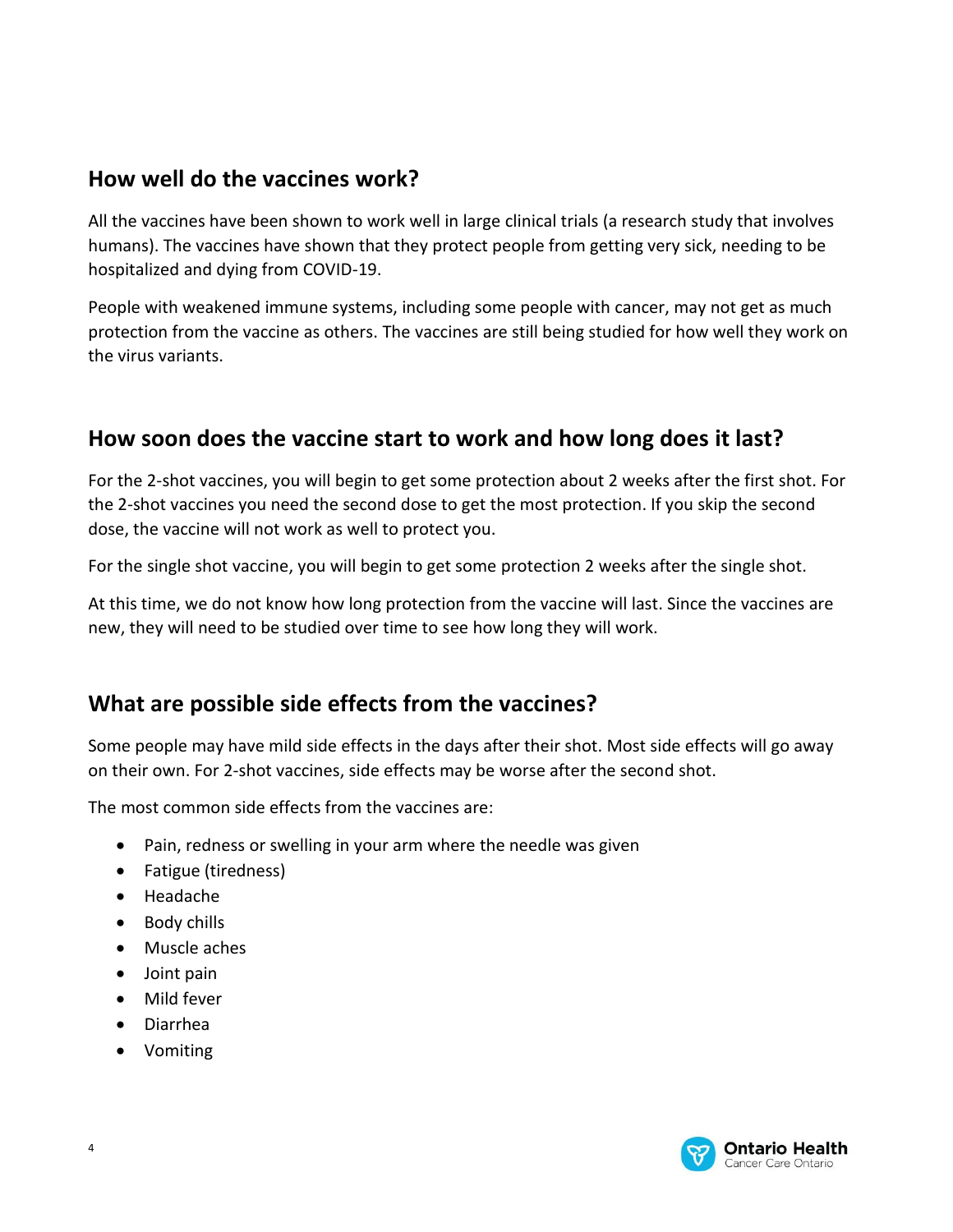#### **How well do the vaccines work?**

All the vaccines have been shown to work well in large clinical trials (a research study that involves humans). The vaccines have shown that they protect people from getting very sick, needing to be hospitalized and dying from COVID-19.

People with weakened immune systems, including some people with cancer, may not get as much protection from the vaccine as others. The vaccines are still being studied for how well they work on the virus variants.

#### **How soon does the vaccine start to work and how long does it last?**

For the 2-shot vaccines, you will begin to get some protection about 2 weeks after the first shot. For the 2-shot vaccines you need the second dose to get the most protection. If you skip the second dose, the vaccine will not work as well to protect you.

For the single shot vaccine, you will begin to get some protection 2 weeks after the single shot.

At this time, we do not know how long protection from the vaccine will last. Since the vaccines are new, they will need to be studied over time to see how long they will work.

#### **What are possible side effects from the vaccines?**

Some people may have mild side effects in the days after their shot. Most side effects will go away on their own. For 2-shot vaccines, side effects may be worse after the second shot.

The most common side effects from the vaccines are:

- Pain, redness or swelling in your arm where the needle was given
- Fatigue (tiredness)
- Headache
- Body chills
- Muscle aches
- Joint pain
- Mild fever
- Diarrhea
- Vomiting

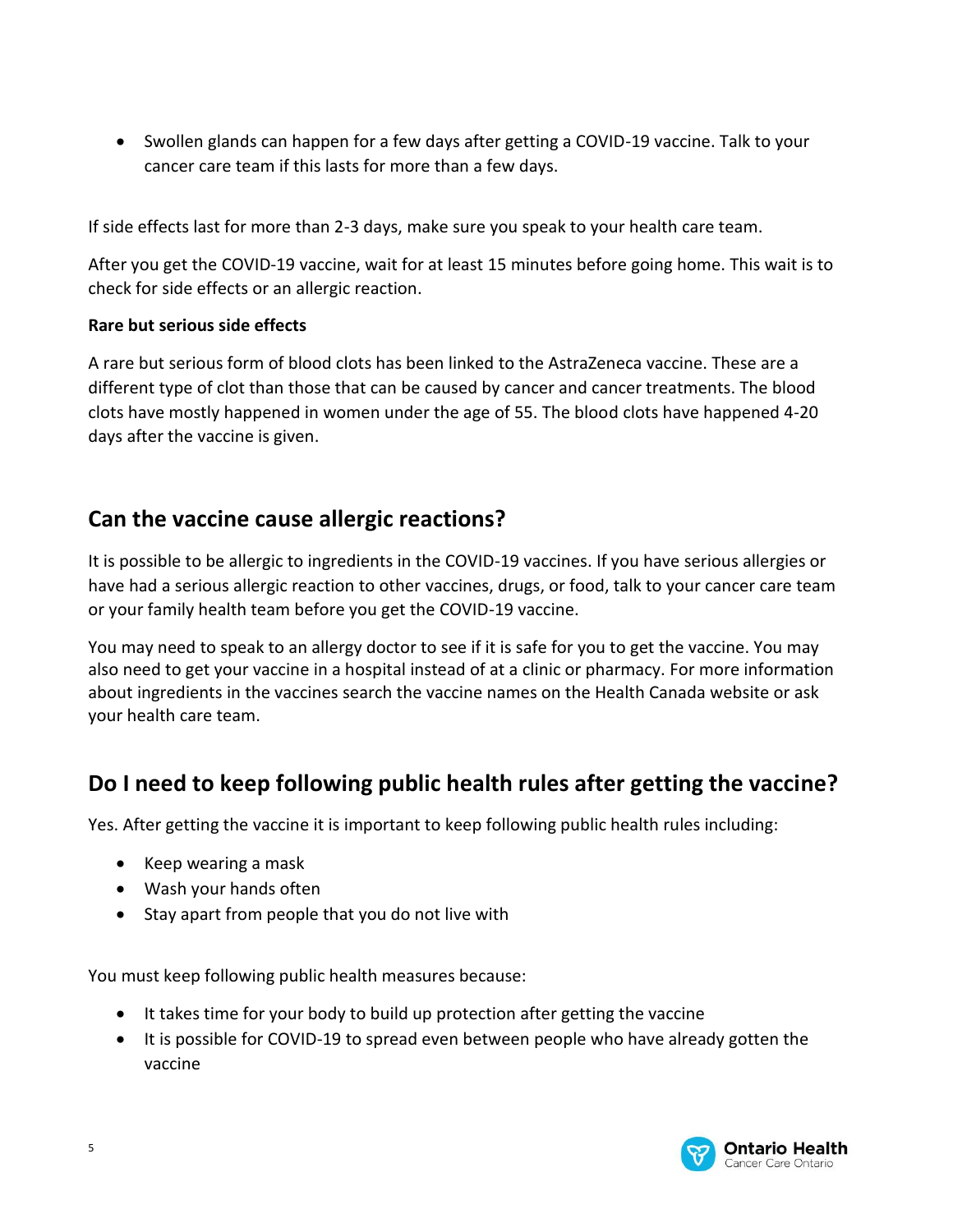• Swollen glands can happen for a few days after getting a COVID-19 vaccine. Talk to your cancer care team if this lasts for more than a few days.

If side effects last for more than 2-3 days, make sure you speak to your health care team.

After you get the COVID-19 vaccine, wait for at least 15 minutes before going home. This wait is to check for side effects or an allergic reaction.

#### **Rare but serious side effects**

A rare but serious form of blood clots has been linked to the AstraZeneca vaccine. These are a different type of clot than those that can be caused by cancer and cancer treatments. The blood clots have mostly happened in women under the age of 55. The blood clots have happened 4-20 days after the vaccine is given.

#### **Can the vaccine cause allergic reactions?**

It is possible to be allergic to ingredients in the COVID-19 vaccines. If you have serious allergies or have had a serious allergic reaction to other vaccines, drugs, or food, talk to your cancer care team or your family health team before you get the COVID-19 vaccine.

You may need to speak to an allergy doctor to see if it is safe for you to get the vaccine. You may also need to get your vaccine in a hospital instead of at a clinic or pharmacy. For more information about ingredients in the vaccines search the vaccine names on the Health Canada website or ask your health care team.

#### **Do I need to keep following public health rules after getting the vaccine?**

Yes. After getting the vaccine it is important to keep following public health rules including:

- Keep wearing a mask
- Wash your hands often
- Stay apart from people that you do not live with

You must keep following public health measures because:

- It takes time for your body to build up protection after getting the vaccine
- It is possible for COVID-19 to spread even between people who have already gotten the vaccine

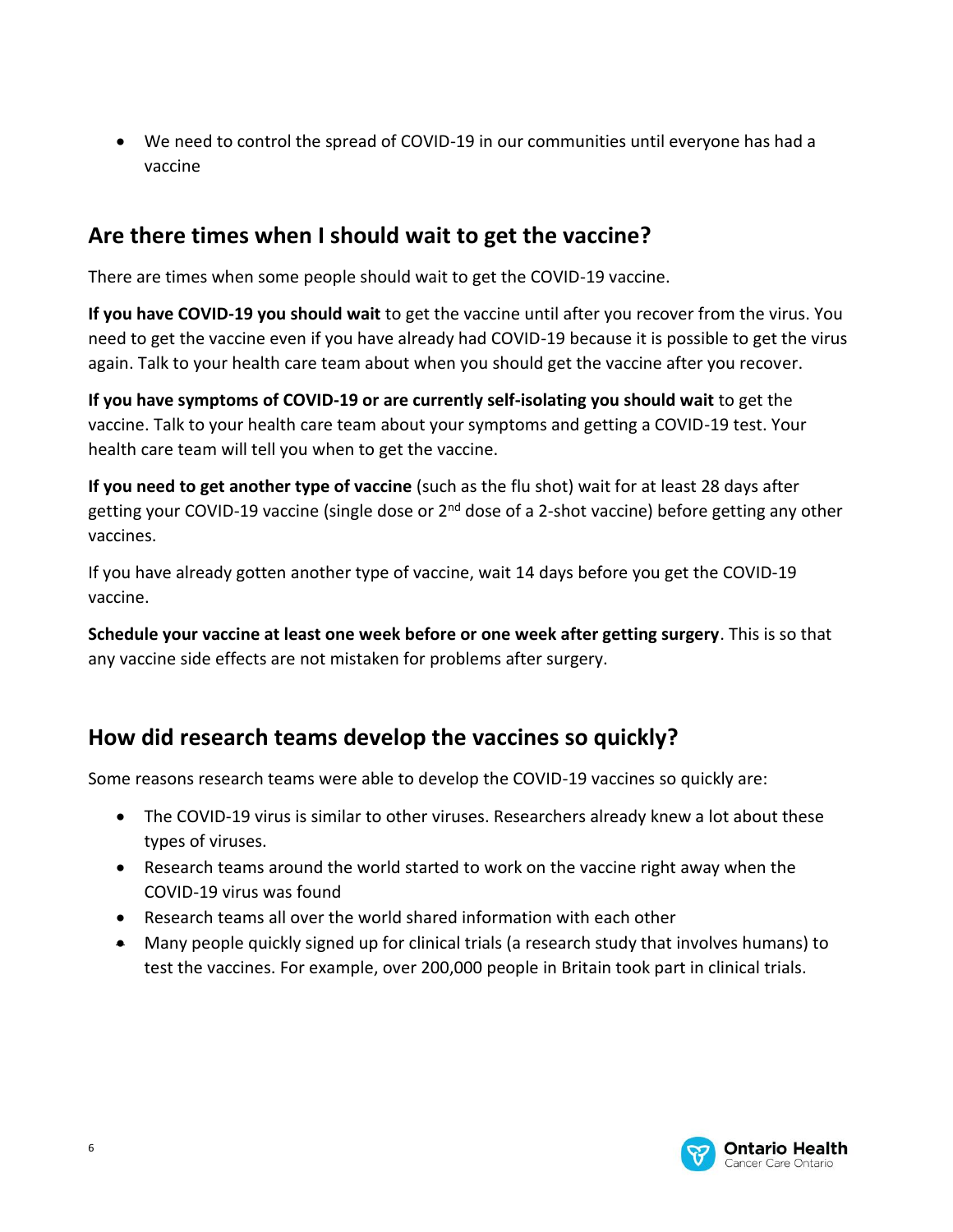We need to control the spread of COVID-19 in our communities until everyone has had a vaccine

#### **Are there times when I should wait to get the vaccine?**

There are times when some people should wait to get the COVID-19 vaccine.

**If you have COVID-19 you should wait** to get the vaccine until after you recover from the virus. You need to get the vaccine even if you have already had COVID-19 because it is possible to get the virus again. Talk to your health care team about when you should get the vaccine after you recover.

**If you have symptoms of COVID-19 or are currently self-isolating you should wait** to get the vaccine. Talk to your health care team about your symptoms and getting a COVID-19 test. Your health care team will tell you when to get the vaccine.

**If you need to get another type of vaccine** (such as the flu shot) wait for at least 28 days after getting your COVID-19 vaccine (single dose or  $2^{nd}$  dose of a 2-shot vaccine) before getting any other vaccines.

If you have already gotten another type of vaccine, wait 14 days before you get the COVID-19 vaccine.

**Schedule your vaccine at least one week before or one week after getting surgery**. This is so that any vaccine side effects are not mistaken for problems after surgery.

## **How did research teams develop the vaccines so quickly?**

Some reasons research teams were able to develop the COVID-19 vaccines so quickly are:

- The COVID-19 virus is similar to other viruses. Researchers already knew a lot about these types of viruses.
- Research teams around the world started to work on the vaccine right away when the COVID-19 virus was found
- Research teams all over the world shared information with each other
- Many people quickly signed up for clinical trials (a research study that involves humans) to test the vaccines. For example, over 200,000 people in Britain took part in clinical trials.